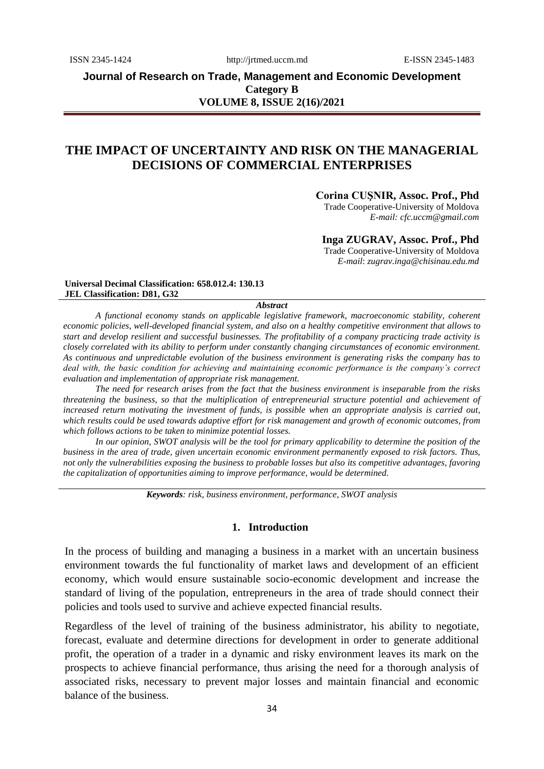**Journal of Research on Trade, Management and Economic Development Category B VOLUME 8, ISSUE 2(16)/2021**

# **THE IMPACT OF UNCERTAINTY AND RISK ON THE MANAGERIAL DECISIONS OF COMMERCIAL ENTERPRISES**

#### **Corina CUŞNIR, Assoc. Prof., Phd**

Trade Cooperative-University of Moldova *E-mail: [cfc.uccm@gmail.com](mailto:cfc.uccm@gmail.com)*

# **Inga ZUGRAV, Assoc. Prof., Phd**

Trade Cooperative-University of Moldova *E-mail*: *[zugrav.inga@chisinau.edu.md](mailto:cfc.uccm@gmail.com)*

#### **Universal Decimal Classification: 658.012.4: 130.13 JEL Classification: D81, G32**

*Abstract*

*A functional economy stands on applicable legislative framework, macroeconomic stability, coherent economic policies, well-developed financial system, and also on a healthy competitive environment that allows to start and develop resilient and successful businesses. The profitability of a company practicing trade activity is closely correlated with its ability to perform under constantly changing circumstances of economic environment. As continuous and unpredictable evolution of the business environment is generating risks the company has to deal with, the basic condition for achieving and maintaining economic performance is the company's correct evaluation and implementation of appropriate risk management.* 

*The need for research arises from the fact that the business environment is inseparable from the risks threatening the business, so that the multiplication of entrepreneurial structure potential and achievement of increased return motivating the investment of funds, is possible when an appropriate analysis is carried out, which results could be used towards adaptive effort for risk management and growth of economic outcomes, from which follows actions to be taken to minimize potential losses.* 

*In our opinion, SWOT analysis will be the tool for primary applicability to determine the position of the business in the area of trade, given uncertain economic environment permanently exposed to risk factors. Thus, not only the vulnerabilities exposing the business to probable losses but also its competitive advantages, favoring the capitalization of opportunities aiming to improve performance, would be determined.*

*Keywords: risk, business environment, performance, SWOT analysis*

# **1. Introduction**

In the process of building and managing a business in a market with an uncertain business environment towards the ful functionality of market laws and development of an efficient economy, which would ensure sustainable socio-economic development and increase the standard of living of the population, entrepreneurs in the area of trade should connect their policies and tools used to survive and achieve expected financial results.

Regardless of the level of training of the business administrator, his ability to negotiate, forecast, evaluate and determine directions for development in order to generate additional profit, the operation of a trader in a dynamic and risky environment leaves its mark on the prospects to achieve financial performance, thus arising the need for a thorough analysis of associated risks, necessary to prevent major losses and maintain financial and economic balance of the business.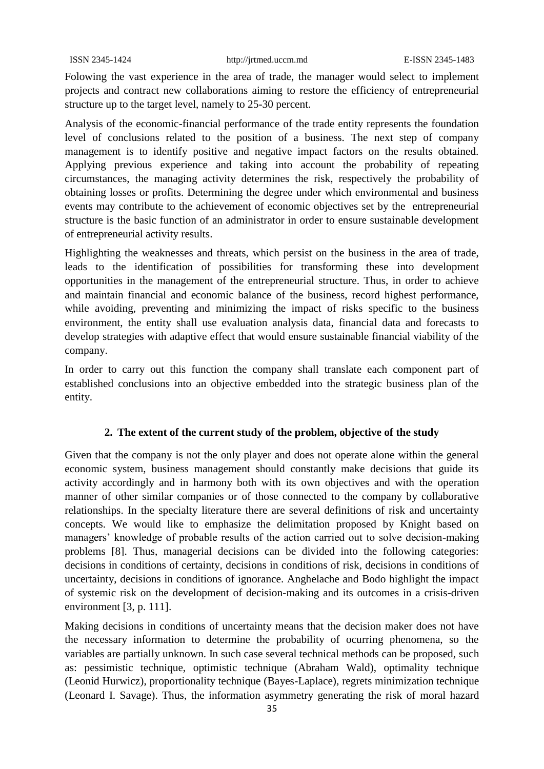Folowing the vast experience in the area of trade, the manager would select to implement projects and contract new collaborations aiming to restore the efficiency of entrepreneurial structure up to the target level, namely to 25-30 percent.

Analysis of the economic-financial performance of the trade entity represents the foundation level of conclusions related to the position of a business. The next step of company management is to identify positive and negative impact factors on the results obtained. Applying previous experience and taking into account the probability of repeating circumstances, the managing activity determines the risk, respectively the probability of obtaining losses or profits. Determining the degree under which environmental and business events may contribute to the achievement of economic objectives set by the entrepreneurial structure is the basic function of an administrator in order to ensure sustainable development of entrepreneurial activity results.

Highlighting the weaknesses and threats, which persist on the business in the area of trade, leads to the identification of possibilities for transforming these into development opportunities in the management of the entrepreneurial structure. Thus, in order to achieve and maintain financial and economic balance of the business, record highest performance, while avoiding, preventing and minimizing the impact of risks specific to the business environment, the entity shall use evaluation analysis data, financial data and forecasts to develop strategies with adaptive effect that would ensure sustainable financial viability of the company.

In order to carry out this function the company shall translate each component part of established conclusions into an objective embedded into the strategic business plan of the entity.

## **2. The extent of the current study of the problem, objective of the study**

Given that the company is not the only player and does not operate alone within the general economic system, business management should constantly make decisions that guide its activity accordingly and in harmony both with its own objectives and with the operation manner of other similar companies or of those connected to the company by collaborative relationships. In the specialty literature there are several definitions of risk and uncertainty concepts. We would like to emphasize the delimitation proposed by Knight based on managers' knowledge of probable results of the action carried out to solve decision-making problems [8]. Thus, managerial decisions can be divided into the following categories: decisions in conditions of certainty, decisions in conditions of risk, decisions in conditions of uncertainty, decisions in conditions of ignorance. Anghelache and Bodo highlight the impact of systemic risk on the development of decision-making and its outcomes in a crisis-driven environment [3, p. 111].

Making decisions in conditions of uncertainty means that the decision maker does not have the necessary information to determine the probability of ocurring phenomena, so the variables are partially unknown. In such case several technical methods can be proposed, such as: pessimistic technique, optimistic technique (Abraham Wald), optimality technique (Leonid Hurwicz), proportionality technique (Bayes-Laplace), regrets minimization technique (Leonard I. Savage). Thus, the information asymmetry generating the risk of moral hazard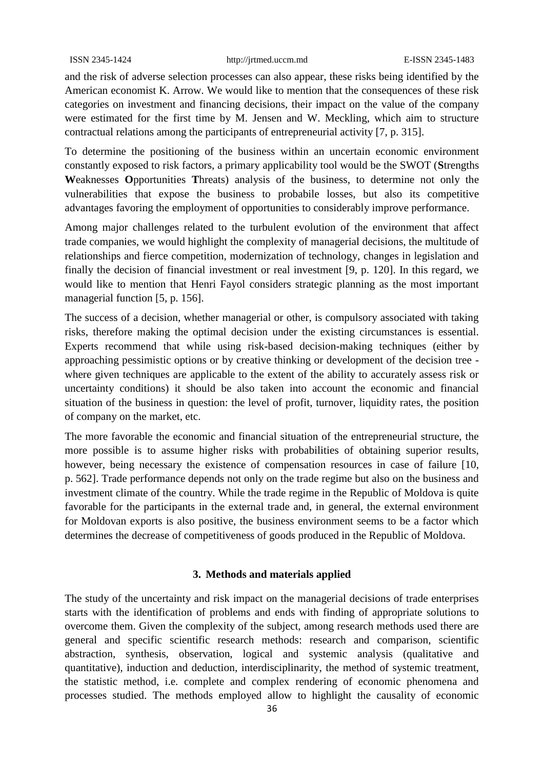and the risk of adverse selection processes can also appear, these risks being identified by the American economist K. Arrow. We would like to mention that the consequences of these risk categories on investment and financing decisions, their impact on the value of the company were estimated for the first time by M. Jensen and W. Meckling, which aim to structure contractual relations among the participants of entrepreneurial activity [7, p. 315].

To determine the positioning of the business within an uncertain economic environment constantly exposed to risk factors, a primary applicability tool would be the SWOT (**S**trengths **W**eaknesses **O**pportunities **T**hreats) analysis of the business, to determine not only the vulnerabilities that expose the business to probabile losses, but also its competitive advantages favoring the employment of opportunities to considerably improve performance.

Among major challenges related to the turbulent evolution of the environment that affect trade companies, we would highlight the complexity of managerial decisions, the multitude of relationships and fierce competition, modernization of technology, changes in legislation and finally the decision of financial investment or real investment [9, p. 120]. In this regard, we would like to mention that Henri Fayol considers strategic planning as the most important managerial function [5, p. 156].

The success of a decision, whether managerial or other, is compulsory associated with taking risks, therefore making the optimal decision under the existing circumstances is essential. Experts recommend that while using risk-based decision-making techniques (either by approaching pessimistic options or by creative thinking or development of the decision tree where given techniques are applicable to the extent of the ability to accurately assess risk or uncertainty conditions) it should be also taken into account the economic and financial situation of the business in question: the level of profit, turnover, liquidity rates, the position of company on the market, etc.

The more favorable the economic and financial situation of the entrepreneurial structure, the more possible is to assume higher risks with probabilities of obtaining superior results, however, being necessary the existence of compensation resources in case of failure [10, p. 562]. Trade performance depends not only on the trade regime but also on the business and investment climate of the country. While the trade regime in the Republic of Moldova is quite favorable for the participants in the external trade and, in general, the external environment for Moldovan exports is also positive, the business environment seems to be a factor which determines the decrease of competitiveness of goods produced in the Republic of Moldova.

#### **3. Methods and materials applied**

The study of the uncertainty and risk impact on the managerial decisions of trade enterprises starts with the identification of problems and ends with finding of appropriate solutions to overcome them. Given the complexity of the subject, among research methods used there are general and specific scientific research methods: research and comparison, scientific abstraction, synthesis, observation, logical and systemic analysis (qualitative and quantitative), induction and deduction, interdisciplinarity, the method of systemic treatment, the statistic method, i.e. complete and complex rendering of economic phenomena and processes studied. The methods employed allow to highlight the causality of economic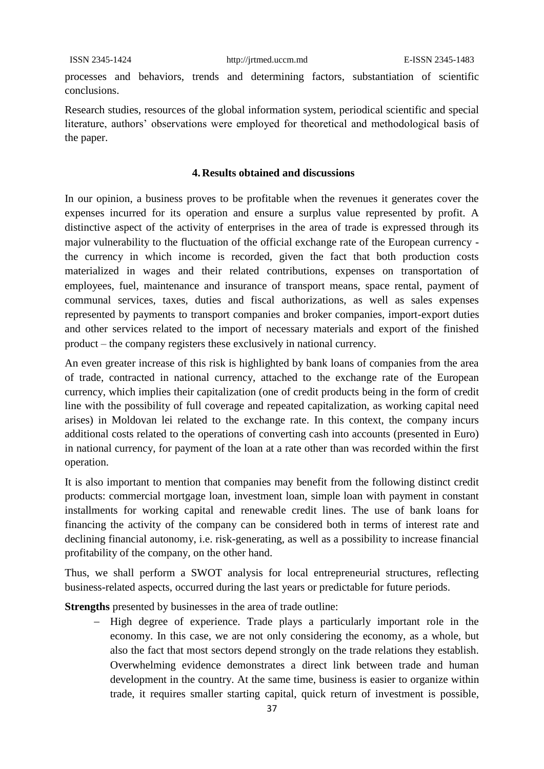processes and behaviors, trends and determining factors, substantiation of scientific conclusions.

Research studies, resources of the global information system, periodical scientific and special literature, authors' observations were employed for theoretical and methodological basis of the paper.

#### **4. Results obtained and discussions**

In our opinion, a business proves to be profitable when the revenues it generates cover the expenses incurred for its operation and ensure a surplus value represented by profit. A distinctive aspect of the activity of enterprises in the area of trade is expressed through its major vulnerability to the fluctuation of the official exchange rate of the European currency the currency in which income is recorded, given the fact that both production costs materialized in wages and their related contributions, expenses on transportation of employees, fuel, maintenance and insurance of transport means, space rental, payment of communal services, taxes, duties and fiscal authorizations, as well as sales expenses represented by payments to transport companies and broker companies, import-export duties and other services related to the import of necessary materials and export of the finished product – the company registers these exclusively in national currency.

An even greater increase of this risk is highlighted by bank loans of companies from the area of trade, contracted in national currency, attached to the exchange rate of the European currency, which implies their capitalization (one of credit products being in the form of credit line with the possibility of full coverage and repeated capitalization, as working capital need arises) in Moldovan lei related to the exchange rate. In this context, the company incurs additional costs related to the operations of converting cash into accounts (presented in Euro) in national currency, for payment of the loan at a rate other than was recorded within the first operation.

It is also important to mention that companies may benefit from the following distinct credit products: commercial mortgage loan, investment loan, simple loan with payment in constant installments for working capital and renewable credit lines. The use of bank loans for financing the activity of the company can be considered both in terms of interest rate and declining financial autonomy, i.e. risk-generating, as well as a possibility to increase financial profitability of the company, on the other hand.

Thus, we shall perform a SWOT analysis for local entrepreneurial structures, reflecting business-related aspects, occurred during the last years or predictable for future periods.

**Strengths** presented by businesses in the area of trade outline:

- High degree of experience. Trade plays a particularly important role in the economy. In this case, we are not only considering the economy, as a whole, but also the fact that most sectors depend strongly on the trade relations they establish. Overwhelming evidence demonstrates a direct link between trade and human development in the country. At the same time, business is easier to organize within trade, it requires smaller starting capital, quick return of investment is possible,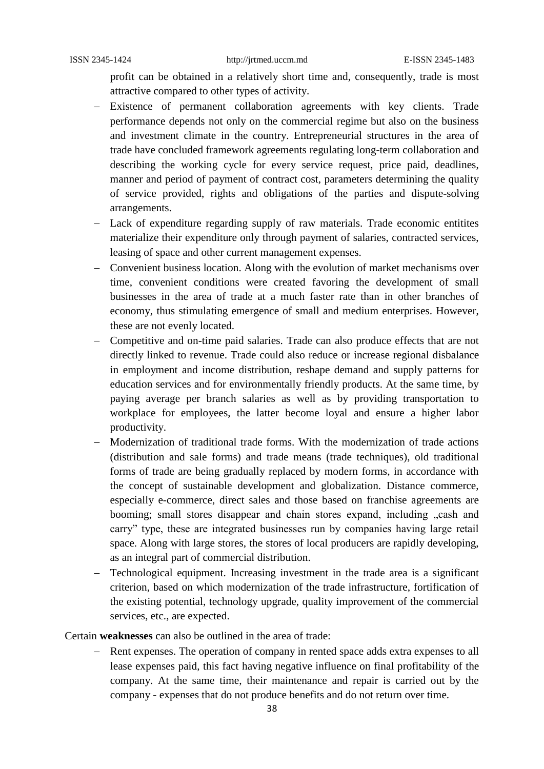profit can be obtained in a relatively short time and, consequently, trade is most attractive compared to other types of activity.

- Existence of permanent collaboration agreements with key clients. Trade performance depends not only on the commercial regime but also on the business and investment climate in the country. Entrepreneurial structures in the area of trade have concluded framework agreements regulating long-term collaboration and describing the working cycle for every service request, price paid, deadlines, manner and period of payment of contract cost, parameters determining the quality of service provided, rights and obligations of the parties and dispute-solving arrangements.
- Lack of expenditure regarding supply of raw materials. Trade economic entitites materialize their expenditure only through payment of salaries, contracted services, leasing of space and other current management expenses.
- Convenient business location. Along with the evolution of market mechanisms over time, convenient conditions were created favoring the development of small businesses in the area of trade at a much faster rate than in other branches of economy, thus stimulating emergence of small and medium enterprises. However, these are not evenly located.
- Competitive and on-time paid salaries. Trade can also produce effects that are not directly linked to revenue. Trade could also reduce or increase regional disbalance in employment and income distribution, reshape demand and supply patterns for education services and for environmentally friendly products. At the same time, by paying average per branch salaries as well as by providing transportation to workplace for employees, the latter become loyal and ensure a higher labor productivity.
- Modernization of traditional trade forms. With the modernization of trade actions (distribution and sale forms) and trade means (trade techniques), old traditional forms of trade are being gradually replaced by modern forms, in accordance with the concept of sustainable development and globalization. Distance commerce, especially e-commerce, direct sales and those based on franchise agreements are booming; small stores disappear and chain stores expand, including "cash and carry" type, these are integrated businesses run by companies having large retail space. Along with large stores, the stores of local producers are rapidly developing, as an integral part of commercial distribution.
- Technological equipment. Increasing investment in the trade area is a significant criterion, based on which modernization of the trade infrastructure, fortification of the existing potential, technology upgrade, quality improvement of the commercial services, etc., are expected.

Certain **weaknesses** can also be outlined in the area of trade:

- Rent expenses. The operation of company in rented space adds extra expenses to all lease expenses paid, this fact having negative influence on final profitability of the company. At the same time, their maintenance and repair is carried out by the company - expenses that do not produce benefits and do not return over time.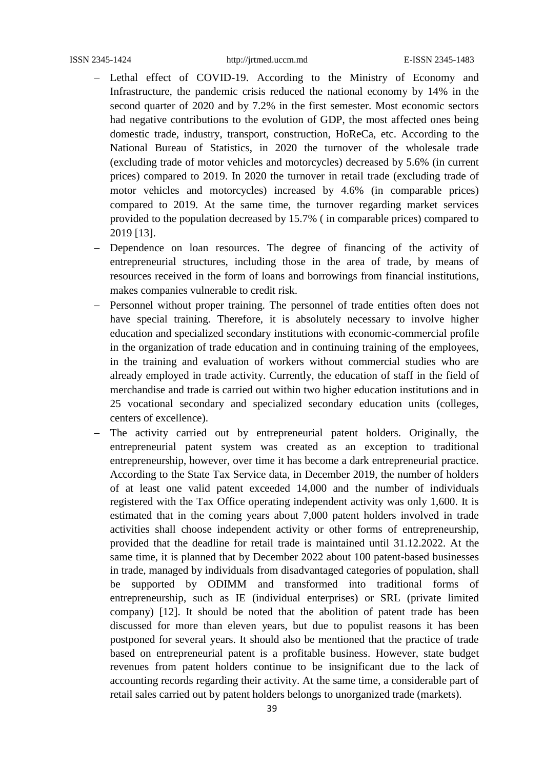- Lethal effect of COVID-19. According to the Ministry of Economy and Infrastructure, the pandemic crisis reduced the national economy by 14% in the second quarter of 2020 and by 7.2% in the first semester. Most economic sectors had negative contributions to the evolution of GDP, the most affected ones being domestic trade, industry, transport, construction, HoReCa, etc. According to the National Bureau of Statistics, in 2020 the turnover of the wholesale trade (excluding trade of motor vehicles and motorcycles) decreased by 5.6% (in current prices) compared to 2019. In 2020 the turnover in retail trade (excluding trade of motor vehicles and motorcycles) increased by 4.6% (in comparable prices) compared to 2019. At the same time, the turnover regarding market services provided to the population decreased by 15.7% ( in comparable prices) compared to 2019 [13].
- Dependence on loan resources. The degree of financing of the activity of entrepreneurial structures, including those in the area of trade, by means of resources received in the form of loans and borrowings from financial institutions, makes companies vulnerable to credit risk.
- Personnel without proper training. The personnel of trade entities often does not have special training. Therefore, it is absolutely necessary to involve higher education and specialized secondary institutions with economic-commercial profile in the organization of trade education and in continuing training of the employees, in the training and evaluation of workers without commercial studies who are already employed in trade activity. Currently, the education of staff in the field of merchandise and trade is carried out within two higher education institutions and in 25 vocational secondary and specialized secondary education units (colleges, centers of excellence).
- The activity carried out by entrepreneurial patent holders. Originally, the entrepreneurial patent system was created as an exception to traditional entrepreneurship, however, over time it has become a dark entrepreneurial practice. According to the State Tax Service data, in December 2019, the number of holders of at least one valid patent exceeded 14,000 and the number of individuals registered with the Tax Office operating independent activity was only 1,600. It is estimated that in the coming years about 7,000 patent holders involved in trade activities shall choose independent activity or other forms of entrepreneurship, provided that the deadline for retail trade is maintained until 31.12.2022. At the same time, it is planned that by December 2022 about 100 patent-based businesses in trade, managed by individuals from disadvantaged categories of population, shall be supported by ODIMM and transformed into traditional forms of entrepreneurship, such as IE (individual enterprises) or SRL (private limited company) [12]. It should be noted that the abolition of patent trade has been discussed for more than eleven years, but due to populist reasons it has been postponed for several years. It should also be mentioned that the practice of trade based on entrepreneurial patent is a profitable business. However, state budget revenues from patent holders continue to be insignificant due to the lack of accounting records regarding their activity. At the same time, a considerable part of retail sales carried out by patent holders belongs to unorganized trade (markets).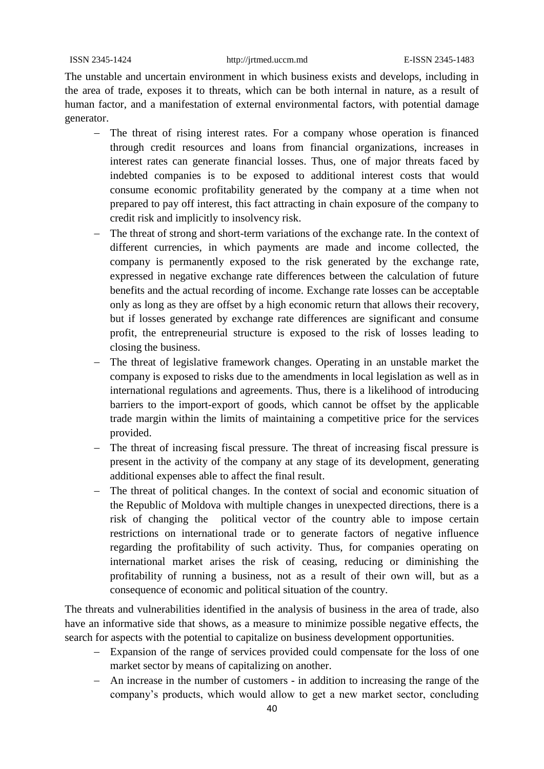The unstable and uncertain environment in which business exists and develops, including in the area of trade, exposes it to threats, which can be both internal in nature, as a result of human factor, and a manifestation of external environmental factors, with potential damage generator.

- The threat of rising interest rates. For a company whose operation is financed through credit resources and loans from financial organizations, increases in interest rates can generate financial losses. Thus, one of major threats faced by indebted companies is to be exposed to additional interest costs that would consume economic profitability generated by the company at a time when not prepared to pay off interest, this fact attracting in chain exposure of the company to credit risk and implicitly to insolvency risk.
- The threat of strong and short-term variations of the exchange rate. In the context of different currencies, in which payments are made and income collected, the company is permanently exposed to the risk generated by the exchange rate, expressed in negative exchange rate differences between the calculation of future benefits and the actual recording of income. Exchange rate losses can be acceptable only as long as they are offset by a high economic return that allows their recovery, but if losses generated by exchange rate differences are significant and consume profit, the entrepreneurial structure is exposed to the risk of losses leading to closing the business.
- The threat of legislative framework changes. Operating in an unstable market the company is exposed to risks due to the amendments in local legislation as well as in international regulations and agreements. Thus, there is a likelihood of introducing barriers to the import-export of goods, which cannot be offset by the applicable trade margin within the limits of maintaining a competitive price for the services provided.
- The threat of increasing fiscal pressure. The threat of increasing fiscal pressure is present in the activity of the company at any stage of its development, generating additional expenses able to affect the final result.
- The threat of political changes. In the context of social and economic situation of the Republic of Moldova with multiple changes in unexpected directions, there is a risk of changing the political vector of the country able to impose certain restrictions on international trade or to generate factors of negative influence regarding the profitability of such activity. Thus, for companies operating on international market arises the risk of ceasing, reducing or diminishing the profitability of running a business, not as a result of their own will, but as a consequence of economic and political situation of the country.

The threats and vulnerabilities identified in the analysis of business in the area of trade, also have an informative side that shows, as a measure to minimize possible negative effects, the search for aspects with the potential to capitalize on business development opportunities.

- Expansion of the range of services provided could compensate for the loss of one market sector by means of capitalizing on another.
- An increase in the number of customers in addition to increasing the range of the company's products, which would allow to get a new market sector, concluding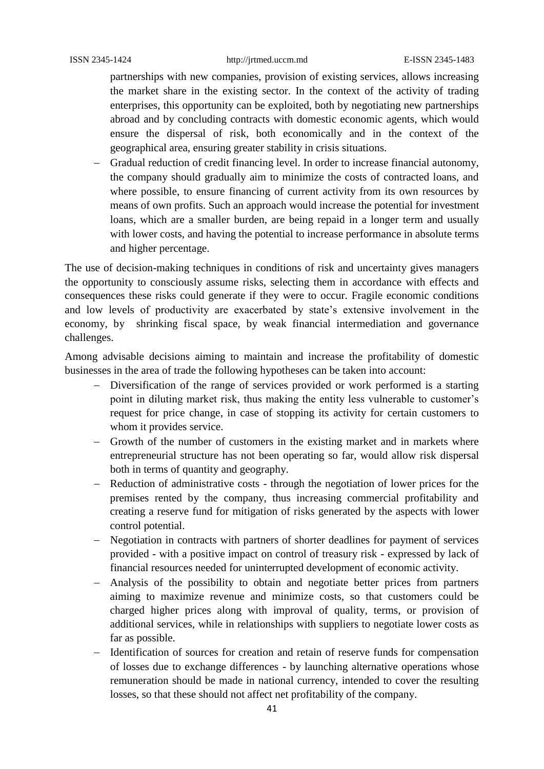partnerships with new companies, provision of existing services, allows increasing the market share in the existing sector. In the context of the activity of trading enterprises, this opportunity can be exploited, both by negotiating new partnerships abroad and by concluding contracts with domestic economic agents, which would ensure the dispersal of risk, both economically and in the context of the geographical area, ensuring greater stability in crisis situations.

 Gradual reduction of credit financing level. In order to increase financial autonomy, the company should gradually aim to minimize the costs of contracted loans, and where possible, to ensure financing of current activity from its own resources by means of own profits. Such an approach would increase the potential for investment loans, which are a smaller burden, are being repaid in a longer term and usually with lower costs, and having the potential to increase performance in absolute terms and higher percentage.

The use of decision-making techniques in conditions of risk and uncertainty gives managers the opportunity to consciously assume risks, selecting them in accordance with effects and consequences these risks could generate if they were to occur. Fragile economic conditions and low levels of productivity are exacerbated by state's extensive involvement in the economy, by shrinking fiscal space, by weak financial intermediation and governance challenges.

Among advisable decisions aiming to maintain and increase the profitability of domestic businesses in the area of trade the following hypotheses can be taken into account:

- Diversification of the range of services provided or work performed is a starting point in diluting market risk, thus making the entity less vulnerable to customer's request for price change, in case of stopping its activity for certain customers to whom it provides service.
- Growth of the number of customers in the existing market and in markets where entrepreneurial structure has not been operating so far, would allow risk dispersal both in terms of quantity and geography.
- Reduction of administrative costs through the negotiation of lower prices for the premises rented by the company, thus increasing commercial profitability and creating a reserve fund for mitigation of risks generated by the aspects with lower control potential.
- Negotiation in contracts with partners of shorter deadlines for payment of services provided - with a positive impact on control of treasury risk - expressed by lack of financial resources needed for uninterrupted development of economic activity.
- Analysis of the possibility to obtain and negotiate better prices from partners aiming to maximize revenue and minimize costs, so that customers could be charged higher prices along with improval of quality, terms, or provision of additional services, while in relationships with suppliers to negotiate lower costs as far as possible.
- Identification of sources for creation and retain of reserve funds for compensation of losses due to exchange differences - by launching alternative operations whose remuneration should be made in national currency, intended to cover the resulting losses, so that these should not affect net profitability of the company.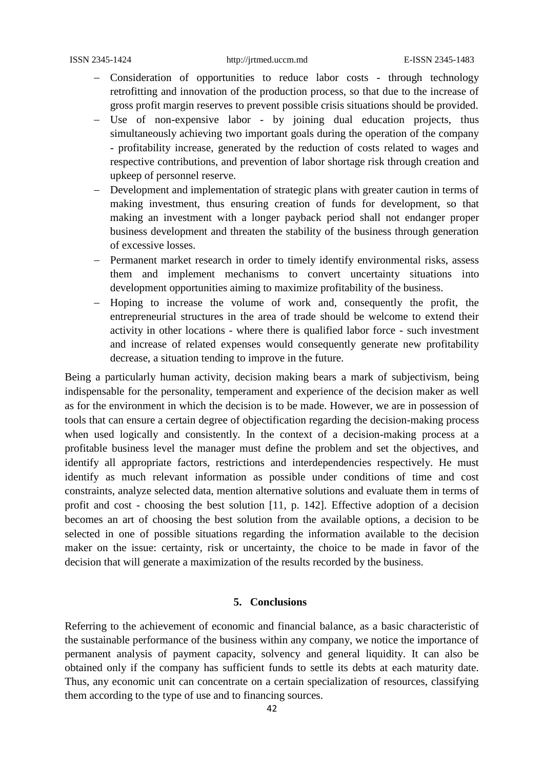- Consideration of opportunities to reduce labor costs through technology retrofitting and innovation of the production process, so that due to the increase of gross profit margin reserves to prevent possible crisis situations should be provided.
- Use of non-expensive labor by joining dual education projects, thus simultaneously achieving two important goals during the operation of the company - profitability increase, generated by the reduction of costs related to wages and respective contributions, and prevention of labor shortage risk through creation and upkeep of personnel reserve.
- Development and implementation of strategic plans with greater caution in terms of making investment, thus ensuring creation of funds for development, so that making an investment with a longer payback period shall not endanger proper business development and threaten the stability of the business through generation of excessive losses.
- Permanent market research in order to timely identify environmental risks, assess them and implement mechanisms to convert uncertainty situations into development opportunities aiming to maximize profitability of the business.
- Hoping to increase the volume of work and, consequently the profit, the entrepreneurial structures in the area of trade should be welcome to extend their activity in other locations - where there is qualified labor force - such investment and increase of related expenses would consequently generate new profitability decrease, a situation tending to improve in the future.

Being a particularly human activity, decision making bears a mark of subjectivism, being indispensable for the personality, temperament and experience of the decision maker as well as for the environment in which the decision is to be made. However, we are in possession of tools that can ensure a certain degree of objectification regarding the decision-making process when used logically and consistently. In the context of a decision-making process at a profitable business level the manager must define the problem and set the objectives, and identify all appropriate factors, restrictions and interdependencies respectively. He must identify as much relevant information as possible under conditions of time and cost constraints, analyze selected data, mention alternative solutions and evaluate them in terms of profit and cost - choosing the best solution [11, p. 142]. Effective adoption of a decision becomes an art of choosing the best solution from the available options, a decision to be selected in one of possible situations regarding the information available to the decision maker on the issue: certainty, risk or uncertainty, the choice to be made in favor of the decision that will generate a maximization of the results recorded by the business.

## **5. Conclusions**

Referring to the achievement of economic and financial balance, as a basic characteristic of the sustainable performance of the business within any company, we notice the importance of permanent analysis of payment capacity, solvency and general liquidity. It can also be obtained only if the company has sufficient funds to settle its debts at each maturity date. Thus, any economic unit can concentrate on a certain specialization of resources, classifying them according to the type of use and to financing sources.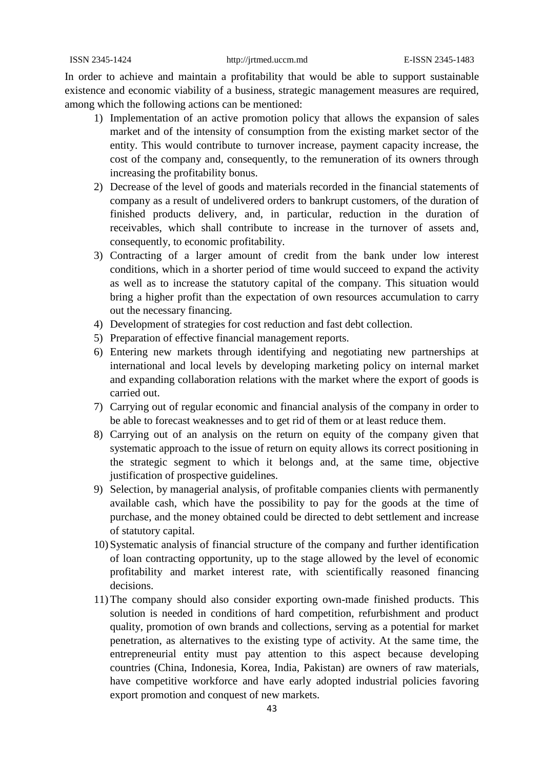In order to achieve and maintain a profitability that would be able to support sustainable existence and economic viability of a business, strategic management measures are required, among which the following actions can be mentioned:

- 1) Implementation of an active promotion policy that allows the expansion of sales market and of the intensity of consumption from the existing market sector of the entity. This would contribute to turnover increase, payment capacity increase, the cost of the company and, consequently, to the remuneration of its owners through increasing the profitability bonus.
- 2) Decrease of the level of goods and materials recorded in the financial statements of company as a result of undelivered orders to bankrupt customers, of the duration of finished products delivery, and, in particular, reduction in the duration of receivables, which shall contribute to increase in the turnover of assets and, consequently, to economic profitability.
- 3) Contracting of a larger amount of credit from the bank under low interest conditions, which in a shorter period of time would succeed to expand the activity as well as to increase the statutory capital of the company. This situation would bring a higher profit than the expectation of own resources accumulation to carry out the necessary financing.
- 4) Development of strategies for cost reduction and fast debt collection.
- 5) Preparation of effective financial management reports.
- 6) Entering new markets through identifying and negotiating new partnerships at international and local levels by developing marketing policy on internal market and expanding collaboration relations with the market where the export of goods is carried out.
- 7) Carrying out of regular economic and financial analysis of the company in order to be able to forecast weaknesses and to get rid of them or at least reduce them.
- 8) Carrying out of an analysis on the return on equity of the company given that systematic approach to the issue of return on equity allows its correct positioning in the strategic segment to which it belongs and, at the same time, objective justification of prospective guidelines.
- 9) Selection, by managerial analysis, of profitable companies clients with permanently available cash, which have the possibility to pay for the goods at the time of purchase, and the money obtained could be directed to debt settlement and increase of statutory capital.
- 10) Systematic analysis of financial structure of the company and further identification of loan contracting opportunity, up to the stage allowed by the level of economic profitability and market interest rate, with scientifically reasoned financing decisions.
- 11)The company should also consider exporting own-made finished products. This solution is needed in conditions of hard competition, refurbishment and product quality, promotion of own brands and collections, serving as a potential for market penetration, as alternatives to the existing type of activity. At the same time, the entrepreneurial entity must pay attention to this aspect because developing countries (China, Indonesia, Korea, India, Pakistan) are owners of raw materials, have competitive workforce and have early adopted industrial policies favoring export promotion and conquest of new markets.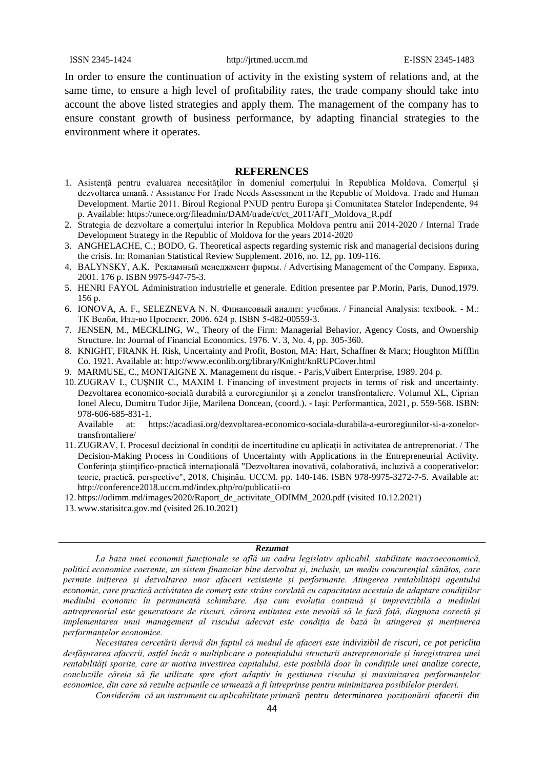In order to ensure the continuation of activity in the existing system of relations and, at the same time, to ensure a high level of profitability rates, the trade company should take into account the above listed strategies and apply them. The management of the company has to ensure constant growth of business performance, by adapting financial strategies to the environment where it operates.

#### **REFERENCES**

- 1. Asistenţă pentru evaluarea necesităţilor în domeniul comerţului în Republica Moldova. Comerțul și dezvoltarea umană. / Assistance For Trade Needs Assessment in the Republic of Moldova. Trade and Human Development. Martie 2011. Biroul Regional PNUD pentru Europa şi Comunitatea Statelor Independente, 94 p. Available: [https://unece.org/fileadmin/DAM/trade/ct/ct\\_2011/AfT\\_Moldova\\_R.pdf](https://unece.org/fileadmin/DAM/trade/ct/ct_2011/AfT_Moldova_R.pdf)
- 2. Strategia de dezvoltare a comerţului interior în Republica Moldova pentru anii 2014-2020 / Internal Trade Development Strategy in the Republic of Moldova for the years 2014-2020
- 3. ANGHELACHE, C.; BODO, G. Theoretical aspects regarding systemic risk and managerial decisions during the crisis. In: Romanian Statistical Review Supplement. 2016, no. 12, pp. 109-116.
- 4. BALYNSKY, A.K. Рекламный менеджмент фирмы. / Advertising Management of the Company. Еврика, 2001. 176 p. ISBN 9975-947-75-3.
- 5. HENRI FAYOL Administration industrielle et generale. Edition presentee par P.Morin, Paris, Dunod,1979. 156 p.
- 6. IONOVA, A. F., SELEZNEVA N. N. Финансовый анализ: учебник. / Financial Analysis: textbook. М.: ТК Велби, Изд-во Проспект, 2006. 624 p. ISBN 5-482-00559-3.
- 7. JENSEN, M., MECKLING, W., Theory of the Firm: Managerial Behavior, Agency Costs, and Ownership Structure. In: Journal of Financial Economics. 1976. V. 3, No. 4, pp. 305-360.
- 8. KNIGHT, FRANK H. Risk, Uncertainty and Profit, Boston, MA: Hart, Schaffner & Marx; Houghton Mifflin Co. 1921. Available at:<http://www.econlib.org/library/Knight/knRUPCover.html>
- 9. MARMUSE, C., MONTAIGNE X. Management du risque. Paris,Vuibert Enterprise, 1989. 204 p.
- 10. ZUGRAV I., CUȘNIR C., MAXIM I. Financing of investment projects in terms of risk and uncertainty. Dezvoltarea economico-socială durabilă a euroregiunilor şi a zonelor transfrontaliere. Volumul XL, Ciprian Ionel Alecu, Dumitru Tudor Jijie, Marilena Doncean, (coord.). - Iaşi: Performantica, 2021, p. 559-568. ISBN: 978-606-685-831-1.

Available at: https://acadiasi.org/dezvoltarea-economico-sociala-durabila-a-euroregiunilor-si-a-zonelortransfrontaliere/

- 11. ZUGRAV, I. Procesul decizional în condiţii de incertitudine cu aplicaţii în activitatea de antreprenoriat. / The Decision-Making Process in Conditions of Uncertainty with Applications in the Entrepreneurial Activity. Conferinta științifico-practică internațională "Dezvoltarea inovativă, colaborativă, incluzivă a cooperativelor: teorie, practică, perspective", 2018, Chișinău. UCCM. pp. 140-146. ISBN 978-9975-3272-7-5. Available at: http://conference2018.uccm.md/index.php/ro/publicatii-ro
- 12. [https://odimm.md/images/2020/Raport\\_de\\_activitate\\_ODIMM\\_2020.pdf](https://odimm.md/images/2020/Raport_de_activitate_ODIMM_2020.pdf) (visited 10.12.2021)
- 13. [www.statisitca.gov.md](http://www.statisitca.gov.md/) (visited 26.10.2021)

## *Rezumat*

*La baza unei economii funcționale se află un cadru legislativ aplicabil, stabilitate macroeconomică, politici economice coerente, un sistem financiar bine dezvoltat și, inclusiv, un mediu concurențial sănătos, care permite inițierea și dezvoltarea unor afaceri rezistente și performante. Atingerea rentabilității agentului economic, care practică activitatea de comerț este strâns corelată cu capacitatea acestuia de adaptare condițiilor mediului economic în permanentă schimbare. Așa cum evoluția continuă și imprevizibilă a mediului antreprenorial este generatoare de riscuri, cărora entitatea este nevoită să le facă față, diagnoza corectă și implementarea unui management al riscului adecvat este condiția de bază în atingerea și menținerea performanțelor economice.* 

*Necesitatea cercetării derivă din faptul că mediul de afaceri este indivizibil de riscuri, ce pot periclita desfășurarea afacerii, astfel încât o multiplicare a potențialului structurii antreprenoriale și înregistrarea unei rentabilități sporite, care ar motiva investirea capitalului, este posibilă doar în condițiile unei analize corecte, concluziile căreia să fie utilizate spre efort adaptiv în gestiunea riscului și maximizarea performanțelor economice, din care să rezulte acțiunile ce urmează a fi întreprinse pentru minimizarea posibilelor pierderi.*

*Considerăm că un instrument cu aplicabilitate primară pentru determinarea poziționării afacerii din*